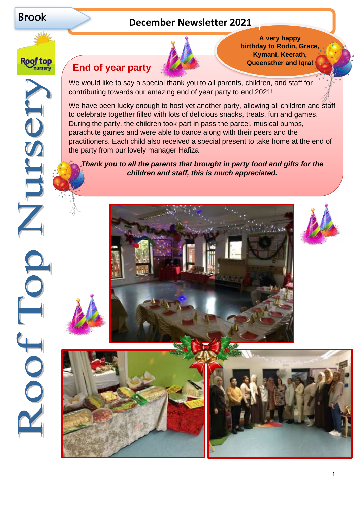

Roof top **Tursery** 

JCSO

# Brook **December Newsletter <sup>2021</sup>**



## **End of year party**

We would like to say a special thank you to all parents, children, and staff for contributing towards our amazing end of year party to end 2021!

We have been lucky enough to host yet another party, allowing all children and staff to celebrate together filled with lots of delicious snacks, treats, fun and games. During the party, the children took part in pass the parcel, musical bumps, parachute games and were able to dance along with their peers and the practitioners. Each child also received a special present to take home at the end of the party from our lovely manager Hafiza

*Thank you to all the parents that brought in party food and gifts for the children and staff, this is much appreciated.*





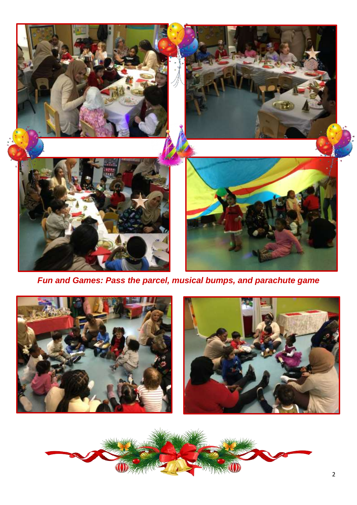

*Fun and Games: Pass the parcel, musical bumps, and parachute game*



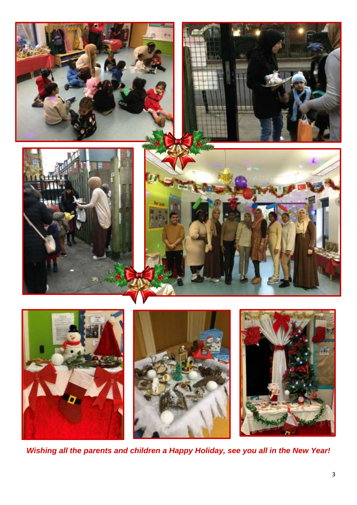

*Wishing all the parents and children a Happy Holiday, see you all in the New Year!*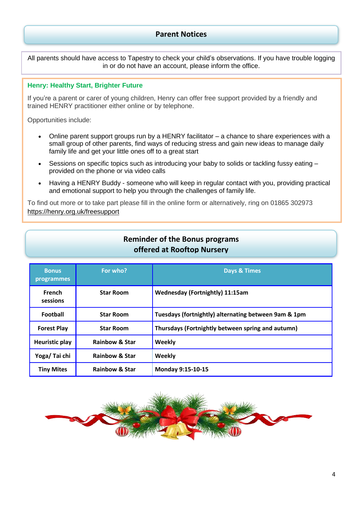#### **Parent Notices**

All parents should have access to Tapestry to check your child's observations. If you have trouble logging in or do not have an account, please inform the office.

#### **Henry: Healthy Start, Brighter Future**

If you're a parent or carer of young children, Henry can offer free support provided by a friendly and trained HENRY practitioner either online or by telephone.

Opportunities include:

- Online parent support groups run by a HENRY facilitator a chance to share experiences with a small group of other parents, find ways of reducing stress and gain new ideas to manage daily family life and get your little ones off to a great start
- Sessions on specific topics such as introducing your baby to solids or tackling fussy eating provided on the phone or via video calls
- Having a HENRY Buddy someone who will keep in regular contact with you, providing practical and emotional support to help you through the challenges of family life.

To find out more or to take part please fill in the online form or alternatively, ring on 01865 302973 [https://henry.org.uk/freesupport](about:blank)

### **Reminder of the Bonus programs offered at Rooftop Nursery**

| <b>Bonus</b><br><b>programmes</b> | For who?                  | <b>Days &amp; Times</b>                              |
|-----------------------------------|---------------------------|------------------------------------------------------|
| French<br>sessions                | <b>Star Room</b>          | <b>Wednesday (Fortnightly) 11:15am</b>               |
| Football                          | <b>Star Room</b>          | Tuesdays (fortnightly) alternating between 9am & 1pm |
| <b>Forest Play</b>                | <b>Star Room</b>          | Thursdays (Fortnightly between spring and autumn)    |
| <b>Heuristic play</b>             | <b>Rainbow &amp; Star</b> | Weekly                                               |
| Yoga/Tai chi                      | <b>Rainbow &amp; Star</b> | Weekly                                               |
| <b>Tiny Mites</b>                 | <b>Rainbow &amp; Star</b> | <b>Monday 9:15-10-15</b>                             |

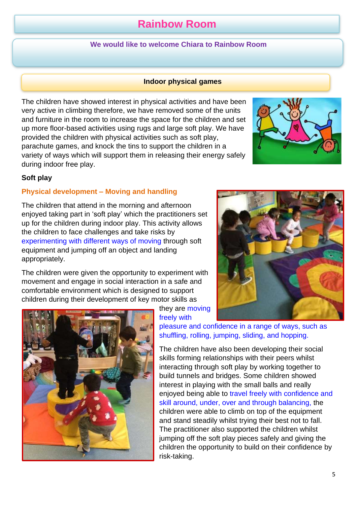# **Rainbow Room**

#### **We would like to welcome Chiara to Rainbow Room**

#### **Indoor physical games**

The children have showed interest in physical activities and have been very active in climbing therefore, we have removed some of the units and furniture in the room to increase the space for the children and set up more floor-based activities using rugs and large soft play. We have provided the children with physical activities such as soft play, parachute games, and knock the tins to support the children in a variety of ways which will support them in releasing their energy safely during indoor free play.

#### **Soft play**

#### **Physical development – Moving and handling**

The children that attend in the morning and afternoon enjoyed taking part in 'soft play' which the practitioners set up for the children during indoor play. This activity allows the children to face challenges and take risks by experimenting with different ways of moving through soft equipment and jumping off an object and landing appropriately.

The children were given the opportunity to experiment with movement and engage in social interaction in a safe and comfortable environment which is designed to support children during their development of key motor skills as

> they are moving freely with

pleasure and confidence in a range of ways, such as shuffling, rolling, jumping, sliding, and hopping.

The children have also been developing their social skills forming relationships with their peers whilst interacting through soft play by working together to build tunnels and bridges. Some children showed interest in playing with the small balls and really enjoyed being able to travel freely with confidence and skill around, under, over and through balancing, the children were able to climb on top of the equipment and stand steadily whilst trying their best not to fall. The practitioner also supported the children whilst jumping off the soft play pieces safely and giving the children the opportunity to build on their confidence by risk-taking.







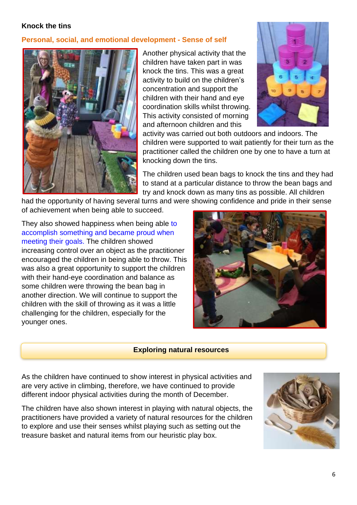#### **Knock the tins**

#### **Personal, social, and emotional development - Sense of self**



Another physical activity that the children have taken part in was knock the tins. This was a great activity to build on the children's concentration and support the children with their hand and eye coordination skills whilst throwing. This activity consisted of morning and afternoon children and this



activity was carried out both outdoors and indoors. The children were supported to wait patiently for their turn as the practitioner called the children one by one to have a turn at knocking down the tins.

The children used bean bags to knock the tins and they had to stand at a particular distance to throw the bean bags and try and knock down as many tins as possible. All children

had the opportunity of having several turns and were showing confidence and pride in their sense of achievement when being able to succeed.

They also showed happiness when being able to accomplish something and became proud when meeting their goals. The children showed increasing control over an object as the practitioner encouraged the children in being able to throw. This was also a great opportunity to support the children with their hand-eye coordination and balance as some children were throwing the bean bag in another direction. We will continue to support the children with the skill of throwing as it was a little challenging for the children, especially for the younger ones.



#### **Exploring natural resources**

As the children have continued to show interest in physical activities and are very active in climbing, therefore, we have continued to provide different indoor physical activities during the month of December.

The children have also shown interest in playing with natural objects, the practitioners have provided a variety of natural resources for the children to explore and use their senses whilst playing such as setting out the treasure basket and natural items from our heuristic play box.

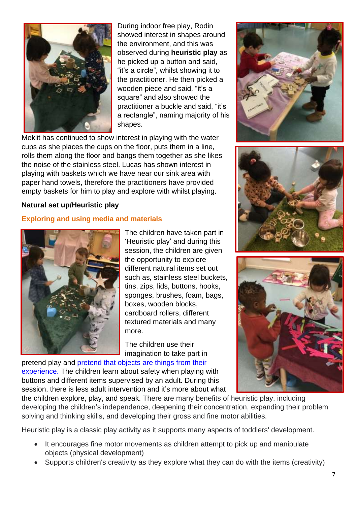

During indoor free play, Rodin showed interest in shapes around the environment, and this was observed during **heuristic play** as he picked up a button and said, "it's a circle", whilst showing it to the practitioner. He then picked a wooden piece and said, "it's a square" and also showed the practitioner a buckle and said, "it's a rectangle", naming majority of his shapes.

Meklit has continued to show interest in playing with the water cups as she places the cups on the floor, puts them in a line, rolls them along the floor and bangs them together as she likes the noise of the stainless steel. Lucas has shown interest in playing with baskets which we have near our sink area with paper hand towels, therefore the practitioners have provided empty baskets for him to play and explore with whilst playing.

#### **Natural set up/Heuristic play**

#### **Exploring and using media and materials**



The children have taken part in 'Heuristic play' and during this session, the children are given the opportunity to explore different natural items set out such as, stainless steel buckets, tins, zips, lids, buttons, hooks, sponges, brushes, foam, bags, boxes, wooden blocks, cardboard rollers, different textured materials and many more.

The children use their imagination to take part in

pretend play and pretend that objects are things from their experience. The children learn about safety when playing with buttons and different items supervised by an adult. During this session, there is less adult intervention and it's more about what







the children explore, play, and speak. There are many benefits of heuristic play, including developing the children's independence, deepening their concentration, expanding their problem solving and thinking skills, and developing their gross and fine motor abilities.

Heuristic play is a classic play activity as it supports many aspects of toddlers' development.

- It encourages fine motor movements as children attempt to pick up and manipulate objects (physical development)
- Supports children's creativity as they explore what they can do with the items (creativity)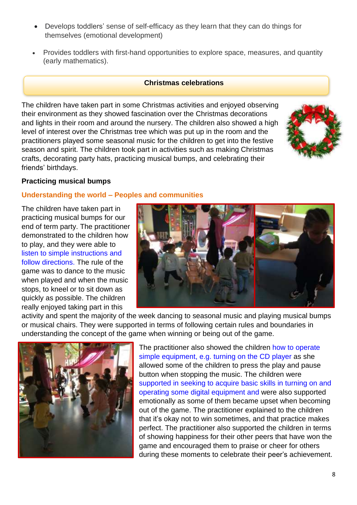- Develops toddlers' sense of self-efficacy as they learn that they can do things for themselves (emotional development)
- Provides toddlers with first-hand opportunities to explore space, measures, and quantity (early mathematics).

#### **Christmas celebrations**

The children have taken part in some Christmas activities and enjoyed observing their environment as they showed fascination over the Christmas decorations and lights in their room and around the nursery. The children also showed a high level of interest over the Christmas tree which was put up in the room and the practitioners played some seasonal music for the children to get into the festive season and spirit. The children took part in activities such as making Christmas crafts, decorating party hats, practicing musical bumps, and celebrating their friends' birthdays.



#### **Practicing musical bumps**

#### **Understanding the world – Peoples and communities**

The children have taken part in practicing musical bumps for our end of term party. The practitioner demonstrated to the children how to play, and they were able to listen to simple instructions and follow directions. The rule of the game was to dance to the music when played and when the music stops, to kneel or to sit down as quickly as possible. The children really enjoyed taking part in this



activity and spent the majority of the week dancing to seasonal music and playing musical bumps or musical chairs. They were supported in terms of following certain rules and boundaries in understanding the concept of the game when winning or being out of the game.



The practitioner also showed the children how to operate simple equipment, e.g. turning on the CD player as she allowed some of the children to press the play and pause button when stopping the music. The children were supported in seeking to acquire basic skills in turning on and operating some digital equipment and were also supported emotionally as some of them became upset when becoming out of the game. The practitioner explained to the children that it's okay not to win sometimes, and that practice makes perfect. The practitioner also supported the children in terms of showing happiness for their other peers that have won the game and encouraged them to praise or cheer for others during these moments to celebrate their peer's achievement.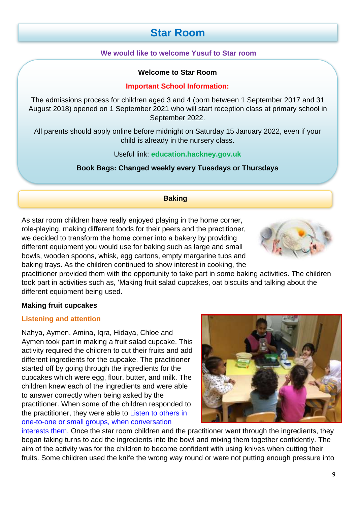# **Star Room**

#### **We would like to welcome Yusuf to Star room**

#### **Welcome to Star Room**

#### **Important School Information:**

The admissions process for children aged 3 and 4 (born between 1 September 2017 and 31 August 2018) opened on 1 September 2021 who will start reception class at primary school in September 2022.

All parents should apply online before midnight on Saturday 15 January 2022, even if your child is already in the nursery class.

Useful link: **education.hackney.gov.uk**

**Book Bags: Changed weekly every Tuesdays or Thursdays** 

#### **Baking**

As star room children have really enjoyed playing in the home corner, role-playing, making different foods for their peers and the practitioner, we decided to transform the home corner into a bakery by providing different equipment you would use for baking such as large and small bowls, wooden spoons, whisk, egg cartons, empty margarine tubs and baking trays. As the children continued to show interest in cooking, the



#### **Making fruit cupcakes**

#### **Listening and attention**

Nahya, Aymen, Amina, Iqra, Hidaya, Chloe and Aymen took part in making a fruit salad cupcake. This activity required the children to cut their fruits and add different ingredients for the cupcake. The practitioner started off by going through the ingredients for the cupcakes which were egg, flour, butter, and milk. The children knew each of the ingredients and were able to answer correctly when being asked by the practitioner. When some of the children responded to the practitioner, they were able to Listen to others in one-to-one or small groups, when conversation



interests them. Once the star room children and the practitioner went through the ingredients, they began taking turns to add the ingredients into the bowl and mixing them together confidently. The aim of the activity was for the children to become confident with using knives when cutting their fruits. Some children used the knife the wrong way round or were not putting enough pressure into

9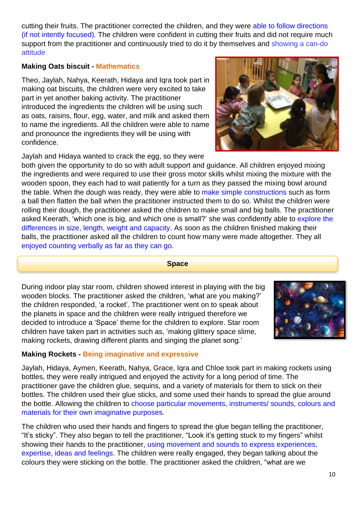cutting their fruits. The practitioner corrected the children, and they were able to follow directions (if not intently focused). The children were confident in cutting their fruits and did not require much support from the practitioner and continuously tried to do it by themselves and showing a can-do attitude

#### **Making Oats biscuit - Mathematics**

Theo, Jaylah, Nahya, Keerath, Hidaya and Iqra took part in making oat biscuits, the children were very excited to take part in yet another baking activity. The practitioner introduced the ingredients the children will be using such as oats, raisins, flour, egg, water, and milk and asked them to name the ingredients. All the children were able to name and pronounce the ingredients they will be using with confidence.

Jaylah and Hidaya wanted to crack the egg, so they were

both given the opportunity to do so with adult support and guidance. All children enjoyed mixing the ingredients and were required to use their gross motor skills whilst mixing the mixture with the wooden spoon, they each had to wait patiently for a turn as they passed the mixing bowl around the table. When the dough was ready, they were able to make simple constructions such as form a ball then flatten the ball when the practitioner instructed them to do so. Whilst the children were rolling their dough, the practitioner asked the children to make small and big balls. The practitioner asked Keerath, 'which one is big, and which one is small?' she was confidently able to explore the differences in size, length, weight and capacity. As soon as the children finished making their balls, the practitioner asked all the children to count how many were made altogether. They all enjoyed counting verbally as far as they can go.

#### **Space**

During indoor play star room, children showed interest in playing with the big wooden blocks. The practitioner asked the children, 'what are you making?' the children responded, 'a rocket'. The practitioner went on to speak about the planets in space and the children were really intrigued therefore we decided to introduce a 'Space' theme for the children to explore. Star room children have taken part in activities such as, 'making glittery space slime, making rockets, drawing different plants and singing the planet song.'

### **Making Rockets - Being imaginative and expressive**

Jaylah, Hidaya, Aymen, Keerath, Nahya, Grace, Iqra and Chloe took part in making rockets using bottles, they were really intrigued and enjoyed the activity for a long period of time. The practitioner gave the children glue, sequins, and a variety of materials for them to stick on their bottles. The children used their glue sticks, and some used their hands to spread the glue around the bottle. Allowing the children to choose particular movements, instruments/ sounds, colours and materials for their own imaginative purposes.

The children who used their hands and fingers to spread the glue began telling the practitioner, "It's sticky". They also began to tell the practitioner, "Look it's getting stuck to my fingers" whilst showing their hands to the practitioner, using movement and sounds to express experiences, expertise, ideas and feelings. The children were really engaged, they began talking about the colours they were sticking on the bottle. The practitioner asked the children, "what are we



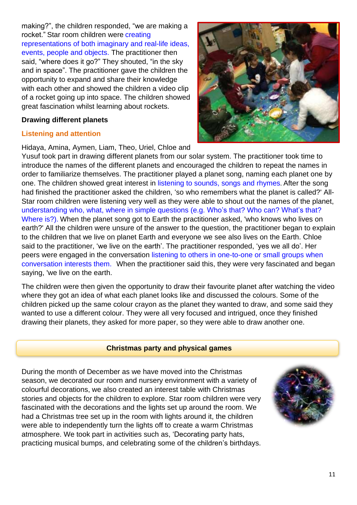making?", the children responded, "we are making a rocket." Star room children were creating representations of both imaginary and real-life ideas, events, people and objects. The practitioner then said, "where does it go?" They shouted, "in the sky and in space". The practitioner gave the children the opportunity to expand and share their knowledge with each other and showed the children a video clip of a rocket going up into space. The children showed great fascination whilst learning about rockets.

#### **Drawing different planets**

#### **Listening and attention**

Hidaya, Amina, Aymen, Liam, Theo, Uriel, Chloe and



Yusuf took part in drawing different planets from our solar system. The practitioner took time to introduce the names of the different planets and encouraged the children to repeat the names in order to familiarize themselves. The practitioner played a planet song, naming each planet one by one. The children showed great interest in listening to sounds, songs and rhymes. After the song had finished the practitioner asked the children, 'so who remembers what the planet is called?' All-Star room children were listening very well as they were able to shout out the names of the planet, understanding who, what, where in simple questions (e.g. Who's that? Who can? What's that? Where is?). When the planet song got to Earth the practitioner asked, 'who knows who lives on earth?' All the children were unsure of the answer to the question, the practitioner began to explain to the children that we live on planet Earth and everyone we see also lives on the Earth. Chloe said to the practitioner, 'we live on the earth'. The practitioner responded, 'yes we all do'. Her peers were engaged in the conversation listening to others in one-to-one or small groups when conversation interests them. When the practitioner said this, they were very fascinated and began saying, 'we live on the earth.

The children were then given the opportunity to draw their favourite planet after watching the video where they got an idea of what each planet looks like and discussed the colours. Some of the children picked up the same colour crayon as the planet they wanted to draw, and some said they wanted to use a different colour. They were all very focused and intrigued, once they finished drawing their planets, they asked for more paper, so they were able to draw another one.

#### **Christmas party and physical games**

During the month of December as we have moved into the Christmas season, we decorated our room and nursery environment with a variety of colourful decorations, we also created an interest table with Christmas stories and objects for the children to explore. Star room children were very fascinated with the decorations and the lights set up around the room. We had a Christmas tree set up in the room with lights around it, the children were able to independently turn the lights off to create a warm Christmas atmosphere. We took part in activities such as, 'Decorating party hats, practicing musical bumps, and celebrating some of the children's birthdays.

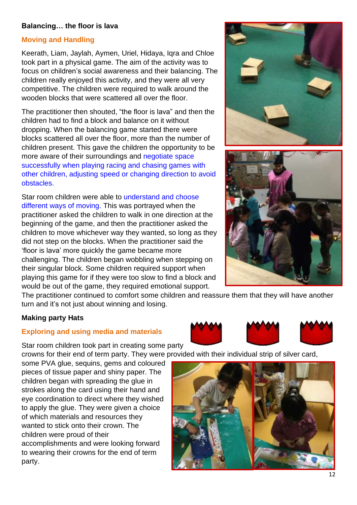#### **Balancing… the floor is lava**

#### **Moving and Handling**

Keerath, Liam, Jaylah, Aymen, Uriel, Hidaya, Iqra and Chloe took part in a physical game. The aim of the activity was to focus on children's social awareness and their balancing. The children really enjoyed this activity, and they were all very competitive. The children were required to walk around the wooden blocks that were scattered all over the floor.

The practitioner then shouted, "the floor is lava" and then the children had to find a block and balance on it without dropping. When the balancing game started there were blocks scattered all over the floor, more than the number of children present. This gave the children the opportunity to be more aware of their surroundings and negotiate space successfully when playing racing and chasing games with other children, adjusting speed or changing direction to avoid obstacles.

Star room children were able to understand and choose different ways of moving. This was portrayed when the practitioner asked the children to walk in one direction at the beginning of the game, and then the practitioner asked the children to move whichever way they wanted, so long as they did not step on the blocks. When the practitioner said the 'floor is lava' more quickly the game became more challenging. The children began wobbling when stepping on their singular block. Some children required support when playing this game for if they were too slow to find a block and would be out of the game, they required emotional support.

The practitioner continued to comfort some children and reassure them that they will have another turn and it's not just about winning and losing.

#### **Making party Hats**

#### **Exploring and using media and materials**

Star room children took part in creating some party crowns for their end of term party. They were provided with their individual strip of silver card,

some PVA glue, sequins, gems and coloured pieces of tissue paper and shiny paper. The children began with spreading the glue in strokes along the card using their hand and eye coordination to direct where they wished to apply the glue. They were given a choice of which materials and resources they wanted to stick onto their crown. The children were proud of their accomplishments and were looking forward to wearing their crowns for the end of term party.